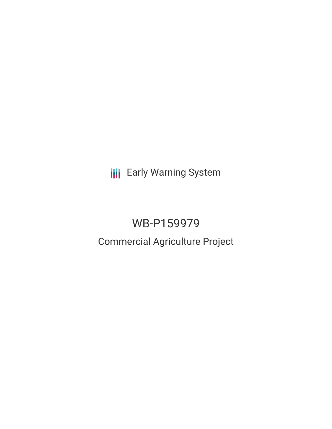**III** Early Warning System

# WB-P159979

## Commercial Agriculture Project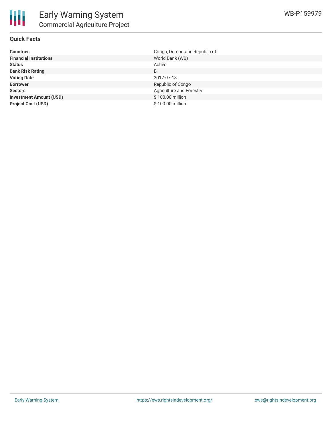

#### **Quick Facts**

| <b>Countries</b>               | Congo, Democratic Republic of |
|--------------------------------|-------------------------------|
| <b>Financial Institutions</b>  | World Bank (WB)               |
| <b>Status</b>                  | Active                        |
| <b>Bank Risk Rating</b>        | B                             |
| <b>Voting Date</b>             | 2017-07-13                    |
| <b>Borrower</b>                | Republic of Congo             |
| <b>Sectors</b>                 | Agriculture and Forestry      |
| <b>Investment Amount (USD)</b> | \$100.00 million              |
| <b>Project Cost (USD)</b>      | \$100.00 million              |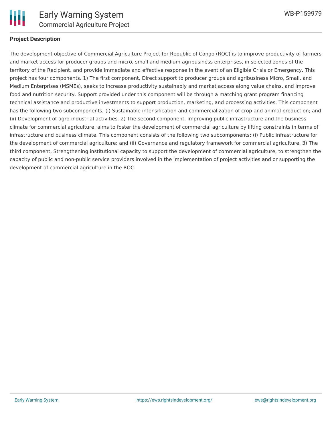

#### **Project Description**

The development objective of Commercial Agriculture Project for Republic of Congo (ROC) is to improve productivity of farmers and market access for producer groups and micro, small and medium agribusiness enterprises, in selected zones of the territory of the Recipient, and provide immediate and effective response in the event of an Eligible Crisis or Emergency. This project has four components. 1) The first component, Direct support to producer groups and agribusiness Micro, Small, and Medium Enterprises (MSMEs), seeks to increase productivity sustainably and market access along value chains, and improve food and nutrition security. Support provided under this component will be through a matching grant program financing technical assistance and productive investments to support production, marketing, and processing activities. This component has the following two subcomponents; (i) Sustainable intensification and commercialization of crop and animal production; and (ii) Development of agro-industrial activities. 2) The second component, Improving public infrastructure and the business climate for commercial agriculture, aims to foster the development of commercial agriculture by lifting constraints in terms of infrastructure and business climate. This component consists of the following two subcomponents: (i) Public infrastructure for the development of commercial agriculture; and (ii) Governance and regulatory framework for commercial agriculture. 3) The third component, Strengthening institutional capacity to support the development of commercial agriculture, to strengthen the capacity of public and non-public service providers involved in the implementation of project activities and or supporting the development of commercial agriculture in the ROC.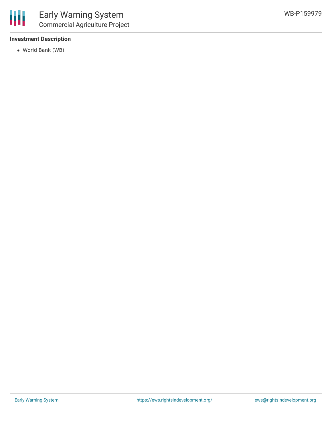#### **Investment Description**

World Bank (WB)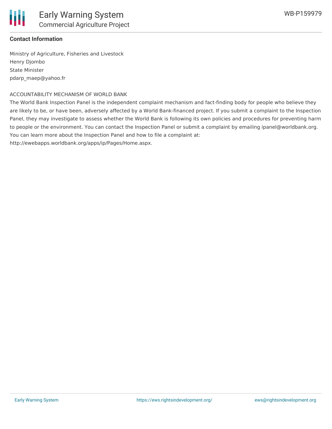

#### **Contact Information**

Ministry of Agriculture, Fisheries and Livestock Henry Djombo State Minister pdarp\_maep@yahoo.fr

#### ACCOUNTABILITY MECHANISM OF WORLD BANK

The World Bank Inspection Panel is the independent complaint mechanism and fact-finding body for people who believe they are likely to be, or have been, adversely affected by a World Bank-financed project. If you submit a complaint to the Inspection Panel, they may investigate to assess whether the World Bank is following its own policies and procedures for preventing harm to people or the environment. You can contact the Inspection Panel or submit a complaint by emailing ipanel@worldbank.org. You can learn more about the Inspection Panel and how to file a complaint at:

http://ewebapps.worldbank.org/apps/ip/Pages/Home.aspx.